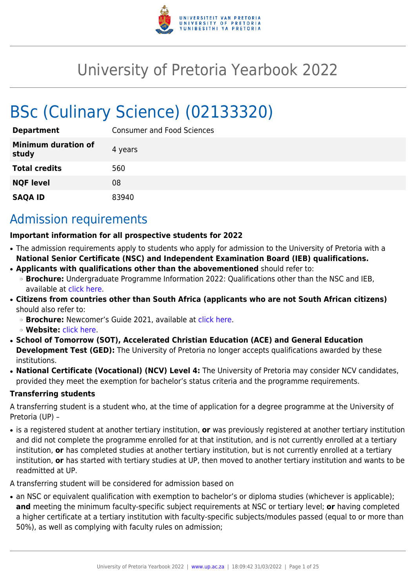

# University of Pretoria Yearbook 2022

# BSc (Culinary Science) (02133320)

| <b>Department</b>                   | <b>Consumer and Food Sciences</b> |
|-------------------------------------|-----------------------------------|
| <b>Minimum duration of</b><br>study | 4 years                           |
| <b>Total credits</b>                | 560                               |
| <b>NQF level</b>                    | 08                                |
| <b>SAQA ID</b>                      | 83940                             |

# Admission requirements

#### **Important information for all prospective students for 2022**

- The admission requirements apply to students who apply for admission to the University of Pretoria with a **National Senior Certificate (NSC) and Independent Examination Board (IEB) qualifications.**
- **Applicants with qualifications other than the abovementioned** should refer to:
- ❍ **Brochure:** Undergraduate Programme Information 2022: Qualifications other than the NSC and IEB, available at [click here.](https://www.up.ac.za/students/article/2749263/admission-information)
- **Citizens from countries other than South Africa (applicants who are not South African citizens)** should also refer to:
	- ❍ **Brochure:** Newcomer's Guide 2021, available at [click here.](https://www.up.ac.za/students/article/2749263/admission-information)
	- ❍ **Website:** [click here](http://www.up.ac.za/international-cooperation-division).
- **School of Tomorrow (SOT), Accelerated Christian Education (ACE) and General Education Development Test (GED):** The University of Pretoria no longer accepts qualifications awarded by these institutions.
- **National Certificate (Vocational) (NCV) Level 4:** The University of Pretoria may consider NCV candidates, provided they meet the exemption for bachelor's status criteria and the programme requirements.

#### **Transferring students**

A transferring student is a student who, at the time of application for a degree programme at the University of Pretoria (UP) –

● is a registered student at another tertiary institution, **or** was previously registered at another tertiary institution and did not complete the programme enrolled for at that institution, and is not currently enrolled at a tertiary institution, **or** has completed studies at another tertiary institution, but is not currently enrolled at a tertiary institution, **or** has started with tertiary studies at UP, then moved to another tertiary institution and wants to be readmitted at UP.

A transferring student will be considered for admission based on

• an NSC or equivalent qualification with exemption to bachelor's or diploma studies (whichever is applicable); **and** meeting the minimum faculty-specific subject requirements at NSC or tertiary level; **or** having completed a higher certificate at a tertiary institution with faculty-specific subjects/modules passed (equal to or more than 50%), as well as complying with faculty rules on admission;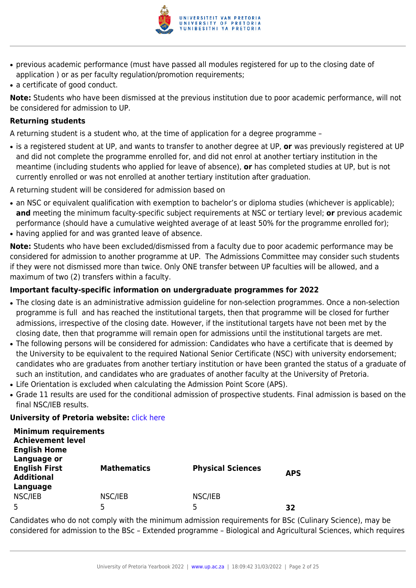

- previous academic performance (must have passed all modules registered for up to the closing date of application ) or as per faculty regulation/promotion requirements;
- a certificate of good conduct.

**Note:** Students who have been dismissed at the previous institution due to poor academic performance, will not be considered for admission to UP.

#### **Returning students**

A returning student is a student who, at the time of application for a degree programme –

● is a registered student at UP, and wants to transfer to another degree at UP, **or** was previously registered at UP and did not complete the programme enrolled for, and did not enrol at another tertiary institution in the meantime (including students who applied for leave of absence), **or** has completed studies at UP, but is not currently enrolled or was not enrolled at another tertiary institution after graduation.

A returning student will be considered for admission based on

- an NSC or equivalent qualification with exemption to bachelor's or diploma studies (whichever is applicable); **and** meeting the minimum faculty-specific subject requirements at NSC or tertiary level; **or** previous academic performance (should have a cumulative weighted average of at least 50% for the programme enrolled for);
- having applied for and was granted leave of absence.

**Note:** Students who have been excluded/dismissed from a faculty due to poor academic performance may be considered for admission to another programme at UP. The Admissions Committee may consider such students if they were not dismissed more than twice. Only ONE transfer between UP faculties will be allowed, and a maximum of two (2) transfers within a faculty.

#### **Important faculty-specific information on undergraduate programmes for 2022**

- The closing date is an administrative admission guideline for non-selection programmes. Once a non-selection programme is full and has reached the institutional targets, then that programme will be closed for further admissions, irrespective of the closing date. However, if the institutional targets have not been met by the closing date, then that programme will remain open for admissions until the institutional targets are met.
- The following persons will be considered for admission: Candidates who have a certificate that is deemed by the University to be equivalent to the required National Senior Certificate (NSC) with university endorsement; candidates who are graduates from another tertiary institution or have been granted the status of a graduate of such an institution, and candidates who are graduates of another faculty at the University of Pretoria.
- Life Orientation is excluded when calculating the Admission Point Score (APS).
- Grade 11 results are used for the conditional admission of prospective students. Final admission is based on the final NSC/IEB results.

#### **University of Pretoria website: [click here](http://www.up.ac.za/nas)**

| <b>Minimum requirements</b><br><b>Achievement level</b><br><b>English Home</b> |                    |                          |            |
|--------------------------------------------------------------------------------|--------------------|--------------------------|------------|
| Language or<br><b>English First</b><br><b>Additional</b>                       | <b>Mathematics</b> | <b>Physical Sciences</b> | <b>APS</b> |
| Language<br>NSC/IEB                                                            | NSC/IEB<br>5       | NSC/IEB<br>5             | 32         |

Candidates who do not comply with the minimum admission requirements for BSc (Culinary Science), may be considered for admission to the BSc – Extended programme – Biological and Agricultural Sciences, which requires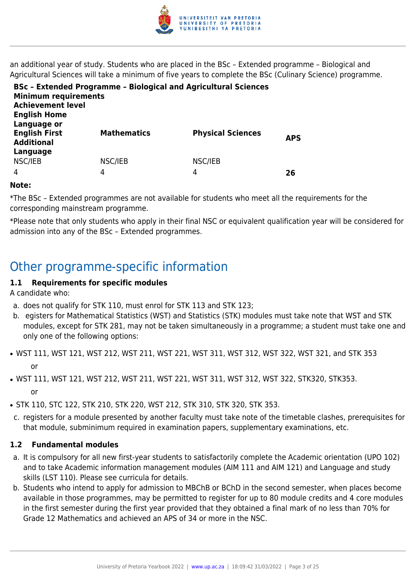

an additional year of study. Students who are placed in the BSc – Extended programme – Biological and Agricultural Sciences will take a minimum of five years to complete the BSc (Culinary Science) programme.

| <b>Minimum requirements</b><br><b>Achievement level</b><br><b>English Home</b> | <b>BSc - Extended Programme - Biological and Agricultural Sciences</b> |                          |            |
|--------------------------------------------------------------------------------|------------------------------------------------------------------------|--------------------------|------------|
| Language or<br><b>English First</b><br><b>Additional</b><br>Language           | <b>Mathematics</b>                                                     | <b>Physical Sciences</b> | <b>APS</b> |
| NSC/IEB                                                                        | NSC/IEB                                                                | NSC/IEB                  |            |
| $\overline{4}$                                                                 | 4                                                                      | 4                        | 26         |

#### **Note:**

\*The BSc – Extended programmes are not available for students who meet all the requirements for the corresponding mainstream programme.

\*Please note that only students who apply in their final NSC or equivalent qualification year will be considered for admission into any of the BSc – Extended programmes.

# Other programme-specific information

#### **1.1 Requirements for specific modules**

A candidate who:

- a. does not qualify for STK 110, must enrol for STK 113 and STK 123;
- b. egisters for Mathematical Statistics (WST) and Statistics (STK) modules must take note that WST and STK modules, except for STK 281, may not be taken simultaneously in a programme; a student must take one and only one of the following options:
- WST 111, WST 121, WST 212, WST 211, WST 221, WST 311, WST 312, WST 322, WST 321, and STK 353 or
- WST 111, WST 121, WST 212, WST 211, WST 221, WST 311, WST 312, WST 322, STK320, STK353. or
- STK 110, STC 122, STK 210, STK 220, WST 212, STK 310, STK 320, STK 353.
- c. registers for a module presented by another faculty must take note of the timetable clashes, prerequisites for that module, subminimum required in examination papers, supplementary examinations, etc.

#### **1.2 Fundamental modules**

- a. It is compulsory for all new first-year students to satisfactorily complete the Academic orientation (UPO 102) and to take Academic information management modules (AIM 111 and AIM 121) and Language and study skills (LST 110). Please see curricula for details.
- b. Students who intend to apply for admission to MBChB or BChD in the second semester, when places become available in those programmes, may be permitted to register for up to 80 module credits and 4 core modules in the first semester during the first year provided that they obtained a final mark of no less than 70% for Grade 12 Mathematics and achieved an APS of 34 or more in the NSC.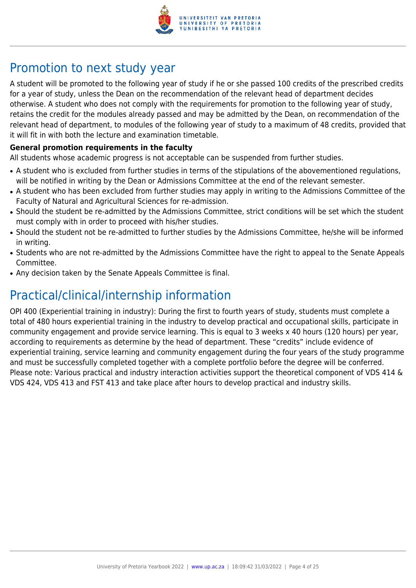

# Promotion to next study year

A student will be promoted to the following year of study if he or she passed 100 credits of the prescribed credits for a year of study, unless the Dean on the recommendation of the relevant head of department decides otherwise. A student who does not comply with the requirements for promotion to the following year of study, retains the credit for the modules already passed and may be admitted by the Dean, on recommendation of the relevant head of department, to modules of the following year of study to a maximum of 48 credits, provided that it will fit in with both the lecture and examination timetable.

#### **General promotion requirements in the faculty**

All students whose academic progress is not acceptable can be suspended from further studies.

- A student who is excluded from further studies in terms of the stipulations of the abovementioned regulations, will be notified in writing by the Dean or Admissions Committee at the end of the relevant semester.
- A student who has been excluded from further studies may apply in writing to the Admissions Committee of the Faculty of Natural and Agricultural Sciences for re-admission.
- Should the student be re-admitted by the Admissions Committee, strict conditions will be set which the student must comply with in order to proceed with his/her studies.
- Should the student not be re-admitted to further studies by the Admissions Committee, he/she will be informed in writing.
- Students who are not re-admitted by the Admissions Committee have the right to appeal to the Senate Appeals Committee.
- Any decision taken by the Senate Appeals Committee is final.

# Practical/clinical/internship information

OPI 400 (Experiential training in industry): During the first to fourth years of study, students must complete a total of 480 hours experiential training in the industry to develop practical and occupational skills, participate in community engagement and provide service learning. This is equal to 3 weeks x 40 hours (120 hours) per year, according to requirements as determine by the head of department. These "credits" include evidence of experiential training, service learning and community engagement during the four years of the study programme and must be successfully completed together with a complete portfolio before the degree will be conferred. Please note: Various practical and industry interaction activities support the theoretical component of VDS 414 & VDS 424, VDS 413 and FST 413 and take place after hours to develop practical and industry skills.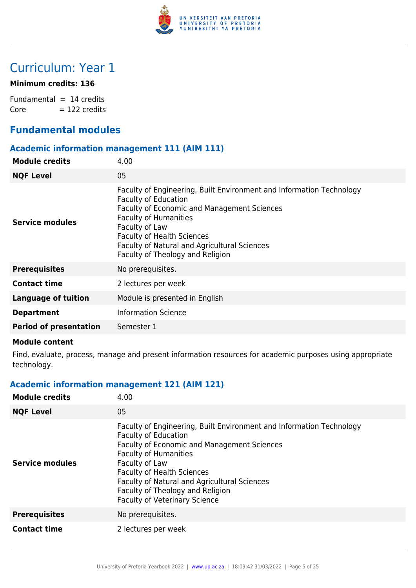

# Curriculum: Year 1

#### **Minimum credits: 136**

Fundamental  $= 14$  credits  $Core = 122 \text{ credits}$ 

# **Fundamental modules**

#### **Academic information management 111 (AIM 111)**

| <b>Module credits</b>         | 4.00                                                                                                                                                                                                                                                                                                                          |
|-------------------------------|-------------------------------------------------------------------------------------------------------------------------------------------------------------------------------------------------------------------------------------------------------------------------------------------------------------------------------|
| <b>NQF Level</b>              | 05                                                                                                                                                                                                                                                                                                                            |
| Service modules               | Faculty of Engineering, Built Environment and Information Technology<br><b>Faculty of Education</b><br>Faculty of Economic and Management Sciences<br><b>Faculty of Humanities</b><br>Faculty of Law<br><b>Faculty of Health Sciences</b><br>Faculty of Natural and Agricultural Sciences<br>Faculty of Theology and Religion |
| <b>Prerequisites</b>          | No prerequisites.                                                                                                                                                                                                                                                                                                             |
| <b>Contact time</b>           | 2 lectures per week                                                                                                                                                                                                                                                                                                           |
| <b>Language of tuition</b>    | Module is presented in English                                                                                                                                                                                                                                                                                                |
| <b>Department</b>             | <b>Information Science</b>                                                                                                                                                                                                                                                                                                    |
| <b>Period of presentation</b> | Semester 1                                                                                                                                                                                                                                                                                                                    |
|                               |                                                                                                                                                                                                                                                                                                                               |

#### **Module content**

Find, evaluate, process, manage and present information resources for academic purposes using appropriate technology.

### **Academic information management 121 (AIM 121)**

| <b>Module credits</b>  | 4.00                                                                                                                                                                                                                                                                                                                                                                                |
|------------------------|-------------------------------------------------------------------------------------------------------------------------------------------------------------------------------------------------------------------------------------------------------------------------------------------------------------------------------------------------------------------------------------|
| <b>NQF Level</b>       | 05                                                                                                                                                                                                                                                                                                                                                                                  |
| <b>Service modules</b> | Faculty of Engineering, Built Environment and Information Technology<br><b>Faculty of Education</b><br><b>Faculty of Economic and Management Sciences</b><br><b>Faculty of Humanities</b><br>Faculty of Law<br><b>Faculty of Health Sciences</b><br><b>Faculty of Natural and Agricultural Sciences</b><br>Faculty of Theology and Religion<br><b>Faculty of Veterinary Science</b> |
| <b>Prerequisites</b>   | No prerequisites.                                                                                                                                                                                                                                                                                                                                                                   |
| <b>Contact time</b>    | 2 lectures per week                                                                                                                                                                                                                                                                                                                                                                 |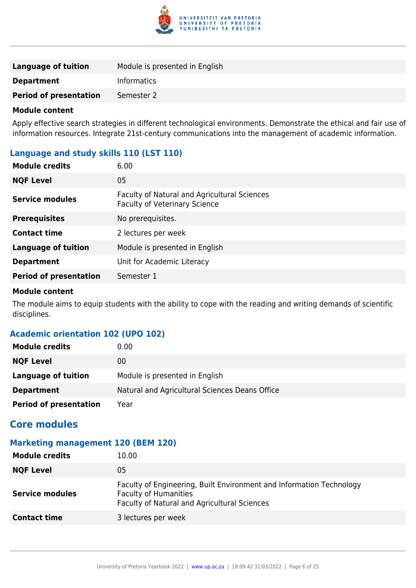

| <b>Language of tuition</b>    | Module is presented in English |
|-------------------------------|--------------------------------|
| <b>Department</b>             | <b>Informatics</b>             |
| <b>Period of presentation</b> | Semester 2                     |

Apply effective search strategies in different technological environments. Demonstrate the ethical and fair use of information resources. Integrate 21st-century communications into the management of academic information.

#### **Language and study skills 110 (LST 110)**

| <b>Module credits</b>         | 6.00                                                                                 |
|-------------------------------|--------------------------------------------------------------------------------------|
| <b>NQF Level</b>              | 05                                                                                   |
| <b>Service modules</b>        | Faculty of Natural and Agricultural Sciences<br><b>Faculty of Veterinary Science</b> |
| <b>Prerequisites</b>          | No prerequisites.                                                                    |
| <b>Contact time</b>           | 2 lectures per week                                                                  |
| <b>Language of tuition</b>    | Module is presented in English                                                       |
| <b>Department</b>             | Unit for Academic Literacy                                                           |
| <b>Period of presentation</b> | Semester 1                                                                           |

#### **Module content**

The module aims to equip students with the ability to cope with the reading and writing demands of scientific disciplines.

#### **Academic orientation 102 (UPO 102)**

| <b>Module credits</b>         | 0.00                                           |
|-------------------------------|------------------------------------------------|
| <b>NQF Level</b>              | 00                                             |
| Language of tuition           | Module is presented in English                 |
| <b>Department</b>             | Natural and Agricultural Sciences Deans Office |
| <b>Period of presentation</b> | Year                                           |

### **Core modules**

#### **Marketing management 120 (BEM 120)**

| <b>Module credits</b>  | 10.00                                                                                                                                                |
|------------------------|------------------------------------------------------------------------------------------------------------------------------------------------------|
| <b>NQF Level</b>       | 05                                                                                                                                                   |
| <b>Service modules</b> | Faculty of Engineering, Built Environment and Information Technology<br><b>Faculty of Humanities</b><br>Faculty of Natural and Agricultural Sciences |
| <b>Contact time</b>    | 3 lectures per week                                                                                                                                  |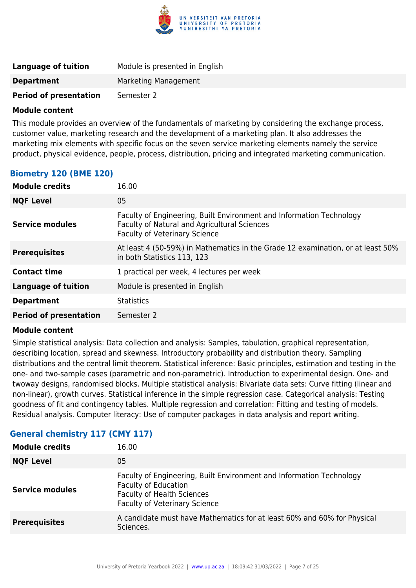

| <b>Language of tuition</b>    | Module is presented in English |
|-------------------------------|--------------------------------|
| <b>Department</b>             | Marketing Management           |
| <b>Period of presentation</b> | Semester 2                     |

This module provides an overview of the fundamentals of marketing by considering the exchange process, customer value, marketing research and the development of a marketing plan. It also addresses the marketing mix elements with specific focus on the seven service marketing elements namely the service product, physical evidence, people, process, distribution, pricing and integrated marketing communication.

#### **Biometry 120 (BME 120)**

| <b>Module credits</b>         | 16.00                                                                                                                                                        |
|-------------------------------|--------------------------------------------------------------------------------------------------------------------------------------------------------------|
| <b>NQF Level</b>              | 05                                                                                                                                                           |
| <b>Service modules</b>        | Faculty of Engineering, Built Environment and Information Technology<br>Faculty of Natural and Agricultural Sciences<br><b>Faculty of Veterinary Science</b> |
| <b>Prerequisites</b>          | At least 4 (50-59%) in Mathematics in the Grade 12 examination, or at least 50%<br>in both Statistics 113, 123                                               |
| <b>Contact time</b>           | 1 practical per week, 4 lectures per week                                                                                                                    |
| <b>Language of tuition</b>    | Module is presented in English                                                                                                                               |
| <b>Department</b>             | <b>Statistics</b>                                                                                                                                            |
| <b>Period of presentation</b> | Semester 2                                                                                                                                                   |

#### **Module content**

Simple statistical analysis: Data collection and analysis: Samples, tabulation, graphical representation, describing location, spread and skewness. Introductory probability and distribution theory. Sampling distributions and the central limit theorem. Statistical inference: Basic principles, estimation and testing in the one- and two-sample cases (parametric and non-parametric). Introduction to experimental design. One- and twoway designs, randomised blocks. Multiple statistical analysis: Bivariate data sets: Curve fitting (linear and non-linear), growth curves. Statistical inference in the simple regression case. Categorical analysis: Testing goodness of fit and contingency tables. Multiple regression and correlation: Fitting and testing of models. Residual analysis. Computer literacy: Use of computer packages in data analysis and report writing.

| <b>Module credits</b>  | 16.00                                                                                                                                                                            |
|------------------------|----------------------------------------------------------------------------------------------------------------------------------------------------------------------------------|
| <b>NQF Level</b>       | 05                                                                                                                                                                               |
| <b>Service modules</b> | Faculty of Engineering, Built Environment and Information Technology<br><b>Faculty of Education</b><br><b>Faculty of Health Sciences</b><br><b>Faculty of Veterinary Science</b> |
| <b>Prerequisites</b>   | A candidate must have Mathematics for at least 60% and 60% for Physical<br>Sciences.                                                                                             |
|                        |                                                                                                                                                                                  |

#### **General chemistry 117 (CMY 117)**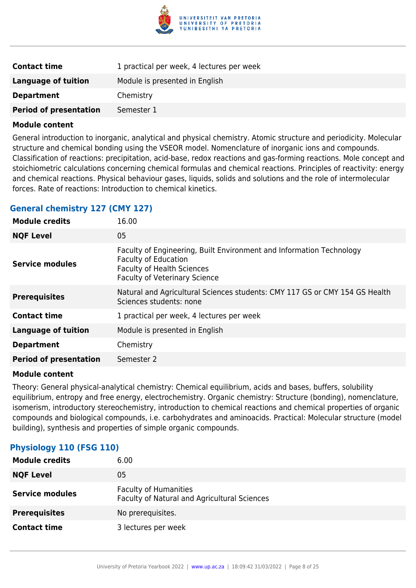

| <b>Contact time</b>           | 1 practical per week, 4 lectures per week |
|-------------------------------|-------------------------------------------|
| <b>Language of tuition</b>    | Module is presented in English            |
| <b>Department</b>             | Chemistry                                 |
| <b>Period of presentation</b> | Semester 1                                |

General introduction to inorganic, analytical and physical chemistry. Atomic structure and periodicity. Molecular structure and chemical bonding using the VSEOR model. Nomenclature of inorganic ions and compounds. Classification of reactions: precipitation, acid-base, redox reactions and gas-forming reactions. Mole concept and stoichiometric calculations concerning chemical formulas and chemical reactions. Principles of reactivity: energy and chemical reactions. Physical behaviour gases, liquids, solids and solutions and the role of intermolecular forces. Rate of reactions: Introduction to chemical kinetics.

#### **General chemistry 127 (CMY 127)**

| <b>Module credits</b>         | 16.00                                                                                                                                                                            |
|-------------------------------|----------------------------------------------------------------------------------------------------------------------------------------------------------------------------------|
| <b>NQF Level</b>              | 05                                                                                                                                                                               |
| <b>Service modules</b>        | Faculty of Engineering, Built Environment and Information Technology<br><b>Faculty of Education</b><br><b>Faculty of Health Sciences</b><br><b>Faculty of Veterinary Science</b> |
| <b>Prerequisites</b>          | Natural and Agricultural Sciences students: CMY 117 GS or CMY 154 GS Health<br>Sciences students: none                                                                           |
| <b>Contact time</b>           | 1 practical per week, 4 lectures per week                                                                                                                                        |
| <b>Language of tuition</b>    | Module is presented in English                                                                                                                                                   |
| <b>Department</b>             | Chemistry                                                                                                                                                                        |
| <b>Period of presentation</b> | Semester 2                                                                                                                                                                       |
|                               |                                                                                                                                                                                  |

#### **Module content**

Theory: General physical-analytical chemistry: Chemical equilibrium, acids and bases, buffers, solubility equilibrium, entropy and free energy, electrochemistry. Organic chemistry: Structure (bonding), nomenclature, isomerism, introductory stereochemistry, introduction to chemical reactions and chemical properties of organic compounds and biological compounds, i.e. carbohydrates and aminoacids. Practical: Molecular structure (model building), synthesis and properties of simple organic compounds.

#### **Physiology 110 (FSG 110)**

| 6.00                                                                         |
|------------------------------------------------------------------------------|
| 05                                                                           |
| <b>Faculty of Humanities</b><br>Faculty of Natural and Agricultural Sciences |
| No prerequisites.                                                            |
| 3 lectures per week                                                          |
|                                                                              |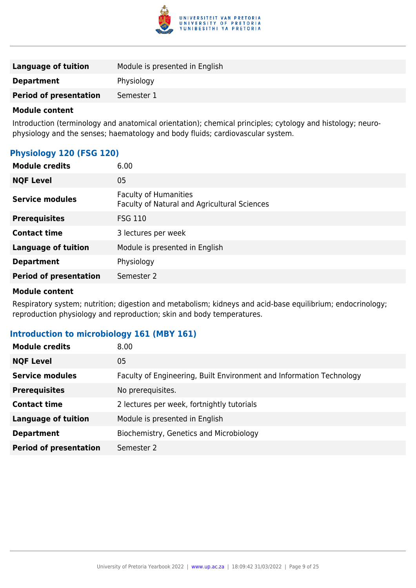

| <b>Language of tuition</b>    | Module is presented in English |
|-------------------------------|--------------------------------|
| <b>Department</b>             | Physiology                     |
| <b>Period of presentation</b> | Semester 1                     |
|                               |                                |

Introduction (terminology and anatomical orientation); chemical principles; cytology and histology; neurophysiology and the senses; haematology and body fluids; cardiovascular system.

#### **Physiology 120 (FSG 120)**

| <b>Module credits</b>         | 6.00                                                                         |
|-------------------------------|------------------------------------------------------------------------------|
| <b>NQF Level</b>              | 05                                                                           |
| <b>Service modules</b>        | <b>Faculty of Humanities</b><br>Faculty of Natural and Agricultural Sciences |
| <b>Prerequisites</b>          | <b>FSG 110</b>                                                               |
| <b>Contact time</b>           | 3 lectures per week                                                          |
| <b>Language of tuition</b>    | Module is presented in English                                               |
| <b>Department</b>             | Physiology                                                                   |
| <b>Period of presentation</b> | Semester 2                                                                   |

#### **Module content**

Respiratory system; nutrition; digestion and metabolism; kidneys and acid-base equilibrium; endocrinology; reproduction physiology and reproduction; skin and body temperatures.

#### **Introduction to microbiology 161 (MBY 161)**

| <b>Module credits</b>         | 8.00                                                                 |
|-------------------------------|----------------------------------------------------------------------|
| <b>NQF Level</b>              | 05                                                                   |
| <b>Service modules</b>        | Faculty of Engineering, Built Environment and Information Technology |
| <b>Prerequisites</b>          | No prerequisites.                                                    |
| <b>Contact time</b>           | 2 lectures per week, fortnightly tutorials                           |
| Language of tuition           | Module is presented in English                                       |
| <b>Department</b>             | Biochemistry, Genetics and Microbiology                              |
| <b>Period of presentation</b> | Semester 2                                                           |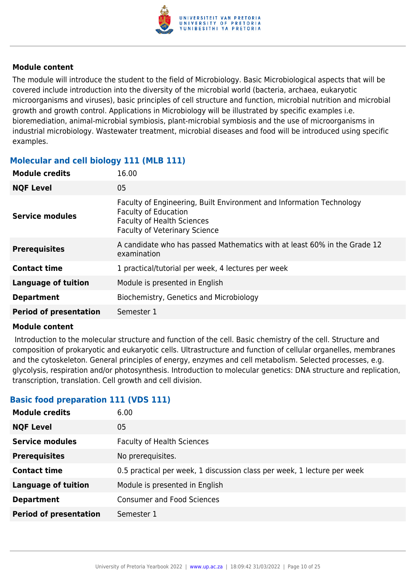

The module will introduce the student to the field of Microbiology. Basic Microbiological aspects that will be covered include introduction into the diversity of the microbial world (bacteria, archaea, eukaryotic microorganisms and viruses), basic principles of cell structure and function, microbial nutrition and microbial growth and growth control. Applications in Microbiology will be illustrated by specific examples i.e. bioremediation, animal-microbial symbiosis, plant-microbial symbiosis and the use of microorganisms in industrial microbiology. Wastewater treatment, microbial diseases and food will be introduced using specific examples.

#### **Molecular and cell biology 111 (MLB 111)**

| <b>Module credits</b>         | 16.00                                                                                                                                                                            |
|-------------------------------|----------------------------------------------------------------------------------------------------------------------------------------------------------------------------------|
| <b>NQF Level</b>              | 05                                                                                                                                                                               |
| Service modules               | Faculty of Engineering, Built Environment and Information Technology<br><b>Faculty of Education</b><br><b>Faculty of Health Sciences</b><br><b>Faculty of Veterinary Science</b> |
| <b>Prerequisites</b>          | A candidate who has passed Mathematics with at least 60% in the Grade 12<br>examination                                                                                          |
| <b>Contact time</b>           | 1 practical/tutorial per week, 4 lectures per week                                                                                                                               |
| <b>Language of tuition</b>    | Module is presented in English                                                                                                                                                   |
| <b>Department</b>             | Biochemistry, Genetics and Microbiology                                                                                                                                          |
| <b>Period of presentation</b> | Semester 1                                                                                                                                                                       |

#### **Module content**

 Introduction to the molecular structure and function of the cell. Basic chemistry of the cell. Structure and composition of prokaryotic and eukaryotic cells. Ultrastructure and function of cellular organelles, membranes and the cytoskeleton. General principles of energy, enzymes and cell metabolism. Selected processes, e.g. glycolysis, respiration and/or photosynthesis. Introduction to molecular genetics: DNA structure and replication, transcription, translation. Cell growth and cell division.

#### **Basic food preparation 111 (VDS 111)**

| <b>Module credits</b>         | 6.00                                                                    |
|-------------------------------|-------------------------------------------------------------------------|
| <b>NQF Level</b>              | 05                                                                      |
| <b>Service modules</b>        | <b>Faculty of Health Sciences</b>                                       |
| <b>Prerequisites</b>          | No prerequisites.                                                       |
| <b>Contact time</b>           | 0.5 practical per week, 1 discussion class per week, 1 lecture per week |
| <b>Language of tuition</b>    | Module is presented in English                                          |
| <b>Department</b>             | <b>Consumer and Food Sciences</b>                                       |
| <b>Period of presentation</b> | Semester 1                                                              |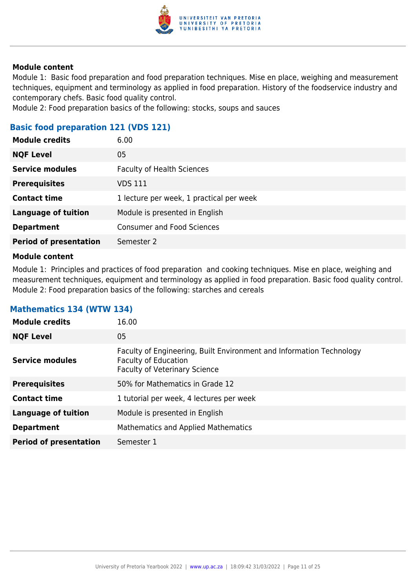

Module 1: Basic food preparation and food preparation techniques. Mise en place, weighing and measurement techniques, equipment and terminology as applied in food preparation. History of the foodservice industry and contemporary chefs. Basic food quality control.

Module 2: Food preparation basics of the following: stocks, soups and sauces

### **Basic food preparation 121 (VDS 121)**

| <b>Module credits</b>         | 6.00                                     |
|-------------------------------|------------------------------------------|
| <b>NQF Level</b>              | 05                                       |
| <b>Service modules</b>        | <b>Faculty of Health Sciences</b>        |
| <b>Prerequisites</b>          | VDS 111                                  |
| <b>Contact time</b>           | 1 lecture per week, 1 practical per week |
| <b>Language of tuition</b>    | Module is presented in English           |
| <b>Department</b>             | <b>Consumer and Food Sciences</b>        |
| <b>Period of presentation</b> | Semester 2                               |
|                               |                                          |

#### **Module content**

Module 1: Principles and practices of food preparation and cooking techniques. Mise en place, weighing and measurement techniques, equipment and terminology as applied in food preparation. Basic food quality control. Module 2: Food preparation basics of the following: starches and cereals

| <b>Module credits</b>         | 16.00                                                                                                                                       |
|-------------------------------|---------------------------------------------------------------------------------------------------------------------------------------------|
| <b>NQF Level</b>              | 05                                                                                                                                          |
| <b>Service modules</b>        | Faculty of Engineering, Built Environment and Information Technology<br><b>Faculty of Education</b><br><b>Faculty of Veterinary Science</b> |
| <b>Prerequisites</b>          | 50% for Mathematics in Grade 12                                                                                                             |
| <b>Contact time</b>           | 1 tutorial per week, 4 lectures per week                                                                                                    |
| <b>Language of tuition</b>    | Module is presented in English                                                                                                              |
| <b>Department</b>             | Mathematics and Applied Mathematics                                                                                                         |
| <b>Period of presentation</b> | Semester 1                                                                                                                                  |

#### **Mathematics 134 (WTW 134)**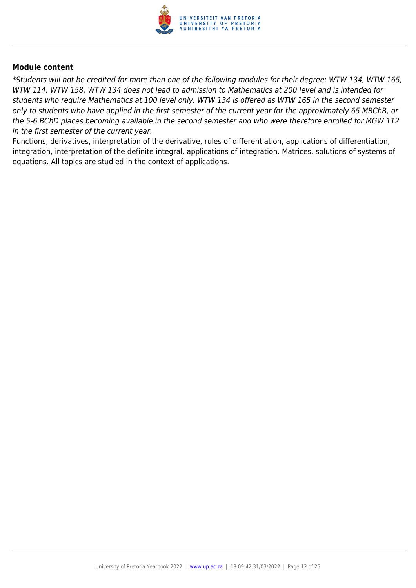

\*Students will not be credited for more than one of the following modules for their degree: WTW 134, WTW 165, WTW 114, WTW 158. WTW 134 does not lead to admission to Mathematics at 200 level and is intended for students who require Mathematics at 100 level only. WTW 134 is offered as WTW 165 in the second semester only to students who have applied in the first semester of the current year for the approximately 65 MBChB, or the 5-6 BChD places becoming available in the second semester and who were therefore enrolled for MGW 112 in the first semester of the current year.

Functions, derivatives, interpretation of the derivative, rules of differentiation, applications of differentiation, integration, interpretation of the definite integral, applications of integration. Matrices, solutions of systems of equations. All topics are studied in the context of applications.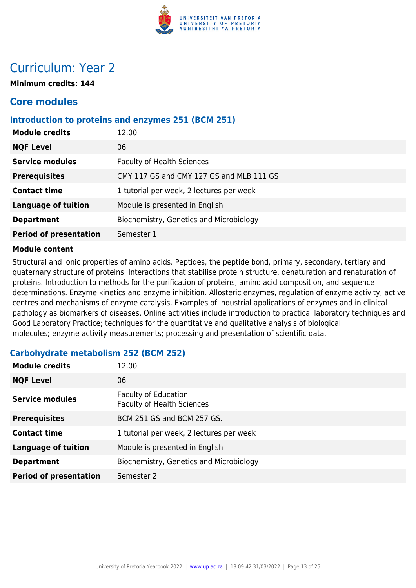

# Curriculum: Year 2

**Minimum credits: 144**

# **Core modules**

#### **Introduction to proteins and enzymes 251 (BCM 251)**

| <b>Module credits</b>         | 12.00                                    |
|-------------------------------|------------------------------------------|
| <b>NQF Level</b>              | 06                                       |
| <b>Service modules</b>        | <b>Faculty of Health Sciences</b>        |
| <b>Prerequisites</b>          | CMY 117 GS and CMY 127 GS and MLB 111 GS |
| <b>Contact time</b>           | 1 tutorial per week, 2 lectures per week |
| <b>Language of tuition</b>    | Module is presented in English           |
| <b>Department</b>             | Biochemistry, Genetics and Microbiology  |
| <b>Period of presentation</b> | Semester 1                               |

#### **Module content**

Structural and ionic properties of amino acids. Peptides, the peptide bond, primary, secondary, tertiary and quaternary structure of proteins. Interactions that stabilise protein structure, denaturation and renaturation of proteins. Introduction to methods for the purification of proteins, amino acid composition, and sequence determinations. Enzyme kinetics and enzyme inhibition. Allosteric enzymes, regulation of enzyme activity, active centres and mechanisms of enzyme catalysis. Examples of industrial applications of enzymes and in clinical pathology as biomarkers of diseases. Online activities include introduction to practical laboratory techniques and Good Laboratory Practice; techniques for the quantitative and qualitative analysis of biological molecules; enzyme activity measurements; processing and presentation of scientific data.

| <b>Module credits</b>         | 12.00                                                     |
|-------------------------------|-----------------------------------------------------------|
| <b>NQF Level</b>              | 06                                                        |
| <b>Service modules</b>        | Faculty of Education<br><b>Faculty of Health Sciences</b> |
| <b>Prerequisites</b>          | BCM 251 GS and BCM 257 GS.                                |
| <b>Contact time</b>           | 1 tutorial per week, 2 lectures per week                  |
| <b>Language of tuition</b>    | Module is presented in English                            |
| <b>Department</b>             | Biochemistry, Genetics and Microbiology                   |
| <b>Period of presentation</b> | Semester 2                                                |

### **Carbohydrate metabolism 252 (BCM 252)**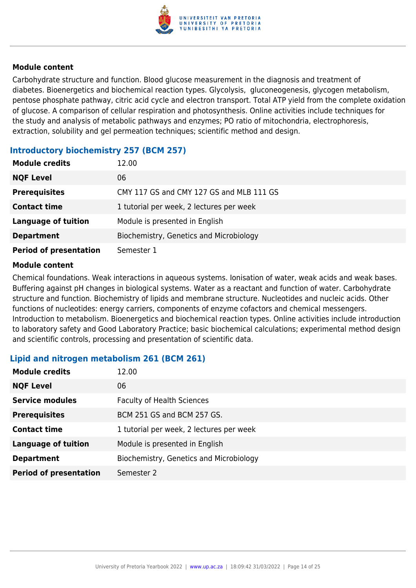

Carbohydrate structure and function. Blood glucose measurement in the diagnosis and treatment of diabetes. Bioenergetics and biochemical reaction types. Glycolysis, gluconeogenesis, glycogen metabolism, pentose phosphate pathway, citric acid cycle and electron transport. Total ATP yield from the complete oxidation of glucose. A comparison of cellular respiration and photosynthesis. Online activities include techniques for the study and analysis of metabolic pathways and enzymes; PO ratio of mitochondria, electrophoresis, extraction, solubility and gel permeation techniques; scientific method and design.

#### **Introductory biochemistry 257 (BCM 257)**

| <b>Module credits</b>         | 12.00                                    |
|-------------------------------|------------------------------------------|
| <b>NQF Level</b>              | 06                                       |
| <b>Prerequisites</b>          | CMY 117 GS and CMY 127 GS and MLB 111 GS |
| <b>Contact time</b>           | 1 tutorial per week, 2 lectures per week |
| <b>Language of tuition</b>    | Module is presented in English           |
| <b>Department</b>             | Biochemistry, Genetics and Microbiology  |
| <b>Period of presentation</b> | Semester 1                               |

#### **Module content**

Chemical foundations. Weak interactions in aqueous systems. Ionisation of water, weak acids and weak bases. Buffering against pH changes in biological systems. Water as a reactant and function of water. Carbohydrate structure and function. Biochemistry of lipids and membrane structure. Nucleotides and nucleic acids. Other functions of nucleotides: energy carriers, components of enzyme cofactors and chemical messengers. Introduction to metabolism. Bioenergetics and biochemical reaction types. Online activities include introduction to laboratory safety and Good Laboratory Practice; basic biochemical calculations; experimental method design and scientific controls, processing and presentation of scientific data.

#### **Lipid and nitrogen metabolism 261 (BCM 261)**

| <b>Module credits</b>         | 12.00                                    |
|-------------------------------|------------------------------------------|
| <b>NQF Level</b>              | 06                                       |
| <b>Service modules</b>        | <b>Faculty of Health Sciences</b>        |
| <b>Prerequisites</b>          | BCM 251 GS and BCM 257 GS.               |
| <b>Contact time</b>           | 1 tutorial per week, 2 lectures per week |
| <b>Language of tuition</b>    | Module is presented in English           |
| <b>Department</b>             | Biochemistry, Genetics and Microbiology  |
| <b>Period of presentation</b> | Semester 2                               |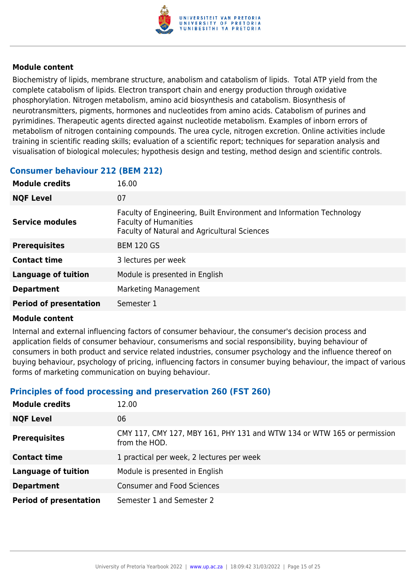

Biochemistry of lipids, membrane structure, anabolism and catabolism of lipids. Total ATP yield from the complete catabolism of lipids. Electron transport chain and energy production through oxidative phosphorylation. Nitrogen metabolism, amino acid biosynthesis and catabolism. Biosynthesis of neurotransmitters, pigments, hormones and nucleotides from amino acids. Catabolism of purines and pyrimidines. Therapeutic agents directed against nucleotide metabolism. Examples of inborn errors of metabolism of nitrogen containing compounds. The urea cycle, nitrogen excretion. Online activities include training in scientific reading skills; evaluation of a scientific report; techniques for separation analysis and visualisation of biological molecules; hypothesis design and testing, method design and scientific controls.

#### **Consumer behaviour 212 (BEM 212)**

| <b>Module credits</b>         | 16.00                                                                                                                                                       |
|-------------------------------|-------------------------------------------------------------------------------------------------------------------------------------------------------------|
| <b>NQF Level</b>              | 07                                                                                                                                                          |
| Service modules               | Faculty of Engineering, Built Environment and Information Technology<br><b>Faculty of Humanities</b><br><b>Faculty of Natural and Agricultural Sciences</b> |
| <b>Prerequisites</b>          | <b>BEM 120 GS</b>                                                                                                                                           |
| <b>Contact time</b>           | 3 lectures per week                                                                                                                                         |
| <b>Language of tuition</b>    | Module is presented in English                                                                                                                              |
| <b>Department</b>             | Marketing Management                                                                                                                                        |
| <b>Period of presentation</b> | Semester 1                                                                                                                                                  |

#### **Module content**

Internal and external influencing factors of consumer behaviour, the consumer's decision process and application fields of consumer behaviour, consumerisms and social responsibility, buying behaviour of consumers in both product and service related industries, consumer psychology and the influence thereof on buying behaviour, psychology of pricing, influencing factors in consumer buying behaviour, the impact of various forms of marketing communication on buying behaviour.

#### **Principles of food processing and preservation 260 (FST 260)**

| <b>Module credits</b>         | 12.00                                                                                    |
|-------------------------------|------------------------------------------------------------------------------------------|
| <b>NQF Level</b>              | 06                                                                                       |
| <b>Prerequisites</b>          | CMY 117, CMY 127, MBY 161, PHY 131 and WTW 134 or WTW 165 or permission<br>from the HOD. |
| <b>Contact time</b>           | 1 practical per week, 2 lectures per week                                                |
| <b>Language of tuition</b>    | Module is presented in English                                                           |
| <b>Department</b>             | <b>Consumer and Food Sciences</b>                                                        |
| <b>Period of presentation</b> | Semester 1 and Semester 2                                                                |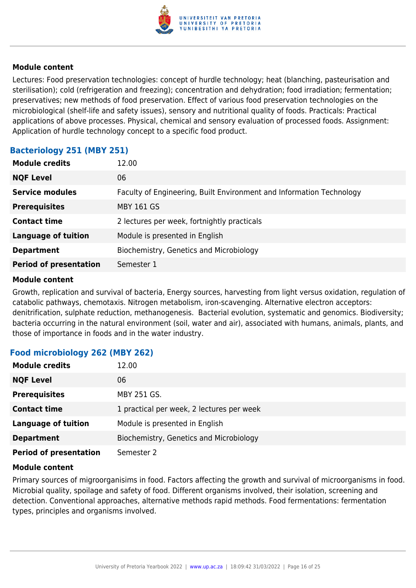

Lectures: Food preservation technologies: concept of hurdle technology; heat (blanching, pasteurisation and sterilisation); cold (refrigeration and freezing); concentration and dehydration; food irradiation; fermentation; preservatives; new methods of food preservation. Effect of various food preservation technologies on the microbiological (shelf-life and safety issues), sensory and nutritional quality of foods. Practicals: Practical applications of above processes. Physical, chemical and sensory evaluation of processed foods. Assignment: Application of hurdle technology concept to a specific food product.

#### **Bacteriology 251 (MBY 251)**

| <b>Module credits</b>         | 12.00                                                                |
|-------------------------------|----------------------------------------------------------------------|
| <b>NQF Level</b>              | 06                                                                   |
| <b>Service modules</b>        | Faculty of Engineering, Built Environment and Information Technology |
| <b>Prerequisites</b>          | <b>MBY 161 GS</b>                                                    |
| <b>Contact time</b>           | 2 lectures per week, fortnightly practicals                          |
| <b>Language of tuition</b>    | Module is presented in English                                       |
| <b>Department</b>             | Biochemistry, Genetics and Microbiology                              |
| <b>Period of presentation</b> | Semester 1                                                           |

#### **Module content**

Growth, replication and survival of bacteria, Energy sources, harvesting from light versus oxidation, regulation of catabolic pathways, chemotaxis. Nitrogen metabolism, iron-scavenging. Alternative electron acceptors: denitrification, sulphate reduction, methanogenesis. Bacterial evolution, systematic and genomics. Biodiversity; bacteria occurring in the natural environment (soil, water and air), associated with humans, animals, plants, and those of importance in foods and in the water industry.

#### **Food microbiology 262 (MBY 262)**

| <b>Module credits</b>         | 12.00                                     |
|-------------------------------|-------------------------------------------|
| <b>NQF Level</b>              | 06                                        |
| <b>Prerequisites</b>          | MBY 251 GS.                               |
| <b>Contact time</b>           | 1 practical per week, 2 lectures per week |
| <b>Language of tuition</b>    | Module is presented in English            |
| <b>Department</b>             | Biochemistry, Genetics and Microbiology   |
| <b>Period of presentation</b> | Semester 2                                |

#### **Module content**

Primary sources of migroorganisims in food. Factors affecting the growth and survival of microorganisms in food. Microbial quality, spoilage and safety of food. Different organisms involved, their isolation, screening and detection. Conventional approaches, alternative methods rapid methods. Food fermentations: fermentation types, principles and organisms involved.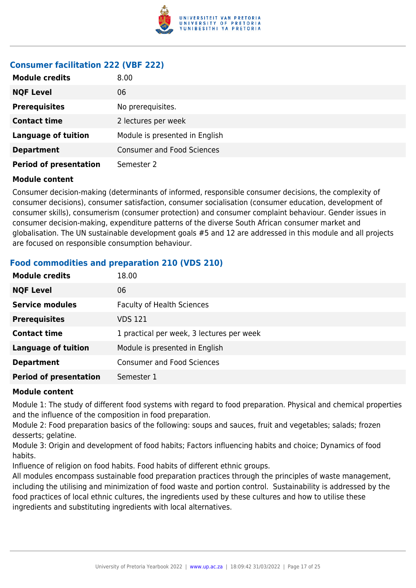

### **Consumer facilitation 222 (VBF 222)**

| <b>Module credits</b>         | 8.00                              |
|-------------------------------|-----------------------------------|
| <b>NQF Level</b>              | 06                                |
| <b>Prerequisites</b>          | No prerequisites.                 |
| <b>Contact time</b>           | 2 lectures per week               |
| <b>Language of tuition</b>    | Module is presented in English    |
| <b>Department</b>             | <b>Consumer and Food Sciences</b> |
| <b>Period of presentation</b> | Semester 2                        |

#### **Module content**

Consumer decision-making (determinants of informed, responsible consumer decisions, the complexity of consumer decisions), consumer satisfaction, consumer socialisation (consumer education, development of consumer skills), consumerism (consumer protection) and consumer complaint behaviour. Gender issues in consumer decision-making, expenditure patterns of the diverse South African consumer market and globalisation. The UN sustainable development goals #5 and 12 are addressed in this module and all projects are focused on responsible consumption behaviour.

#### **Food commodities and preparation 210 (VDS 210)**

| <b>Module credits</b>         | 18.00                                     |
|-------------------------------|-------------------------------------------|
| <b>NQF Level</b>              | 06                                        |
| <b>Service modules</b>        | <b>Faculty of Health Sciences</b>         |
| <b>Prerequisites</b>          | VDS 121                                   |
| <b>Contact time</b>           | 1 practical per week, 3 lectures per week |
| <b>Language of tuition</b>    | Module is presented in English            |
| <b>Department</b>             | <b>Consumer and Food Sciences</b>         |
| <b>Period of presentation</b> | Semester 1                                |

#### **Module content**

Module 1: The study of different food systems with regard to food preparation. Physical and chemical properties and the influence of the composition in food preparation.

Module 2: Food preparation basics of the following: soups and sauces, fruit and vegetables; salads; frozen desserts; gelatine.

Module 3: Origin and development of food habits; Factors influencing habits and choice; Dynamics of food habits.

Influence of religion on food habits. Food habits of different ethnic groups.

All modules encompass sustainable food preparation practices through the principles of waste management, including the utilising and minimization of food waste and portion control. Sustainability is addressed by the food practices of local ethnic cultures, the ingredients used by these cultures and how to utilise these ingredients and substituting ingredients with local alternatives.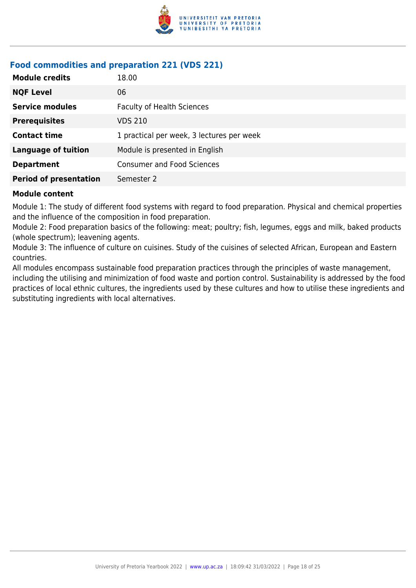

### **Food commodities and preparation 221 (VDS 221)**

| <b>Module credits</b>         | 18.00                                     |
|-------------------------------|-------------------------------------------|
| <b>NQF Level</b>              | 06                                        |
| <b>Service modules</b>        | <b>Faculty of Health Sciences</b>         |
| <b>Prerequisites</b>          | <b>VDS 210</b>                            |
| <b>Contact time</b>           | 1 practical per week, 3 lectures per week |
| <b>Language of tuition</b>    | Module is presented in English            |
| <b>Department</b>             | <b>Consumer and Food Sciences</b>         |
| <b>Period of presentation</b> | Semester 2                                |

#### **Module content**

Module 1: The study of different food systems with regard to food preparation. Physical and chemical properties and the influence of the composition in food preparation.

Module 2: Food preparation basics of the following: meat; poultry; fish, legumes, eggs and milk, baked products (whole spectrum); leavening agents.

Module 3: The influence of culture on cuisines. Study of the cuisines of selected African, European and Eastern countries.

All modules encompass sustainable food preparation practices through the principles of waste management, including the utilising and minimization of food waste and portion control. Sustainability is addressed by the food practices of local ethnic cultures, the ingredients used by these cultures and how to utilise these ingredients and substituting ingredients with local alternatives.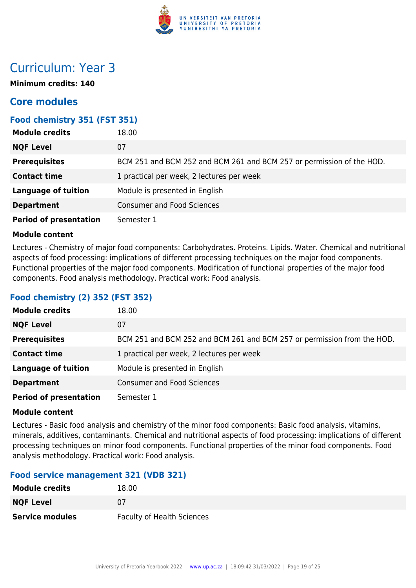

# Curriculum: Year 3

**Minimum credits: 140**

# **Core modules**

#### **Food chemistry 351 (FST 351)**

| <b>Module credits</b>         | 18.00                                                                 |
|-------------------------------|-----------------------------------------------------------------------|
| <b>NQF Level</b>              | 07                                                                    |
| <b>Prerequisites</b>          | BCM 251 and BCM 252 and BCM 261 and BCM 257 or permission of the HOD. |
| <b>Contact time</b>           | 1 practical per week, 2 lectures per week                             |
| <b>Language of tuition</b>    | Module is presented in English                                        |
| <b>Department</b>             | <b>Consumer and Food Sciences</b>                                     |
| <b>Period of presentation</b> | Semester 1                                                            |

#### **Module content**

Lectures - Chemistry of major food components: Carbohydrates. Proteins. Lipids. Water. Chemical and nutritional aspects of food processing: implications of different processing techniques on the major food components. Functional properties of the major food components. Modification of functional properties of the major food components. Food analysis methodology. Practical work: Food analysis.

#### **Food chemistry (2) 352 (FST 352)**

| <b>Module credits</b>         | 18.00                                                                   |
|-------------------------------|-------------------------------------------------------------------------|
| <b>NQF Level</b>              | 07                                                                      |
| <b>Prerequisites</b>          | BCM 251 and BCM 252 and BCM 261 and BCM 257 or permission from the HOD. |
| <b>Contact time</b>           | 1 practical per week, 2 lectures per week                               |
| <b>Language of tuition</b>    | Module is presented in English                                          |
| <b>Department</b>             | <b>Consumer and Food Sciences</b>                                       |
| <b>Period of presentation</b> | Semester 1                                                              |

#### **Module content**

Lectures - Basic food analysis and chemistry of the minor food components: Basic food analysis, vitamins, minerals, additives, contaminants. Chemical and nutritional aspects of food processing: implications of different processing techniques on minor food components. Functional properties of the minor food components. Food analysis methodology. Practical work: Food analysis.

#### **Food service management 321 (VDB 321)**

| <b>Module credits</b>  | 18.00                             |
|------------------------|-----------------------------------|
| <b>NQF Level</b>       | 07                                |
| <b>Service modules</b> | <b>Faculty of Health Sciences</b> |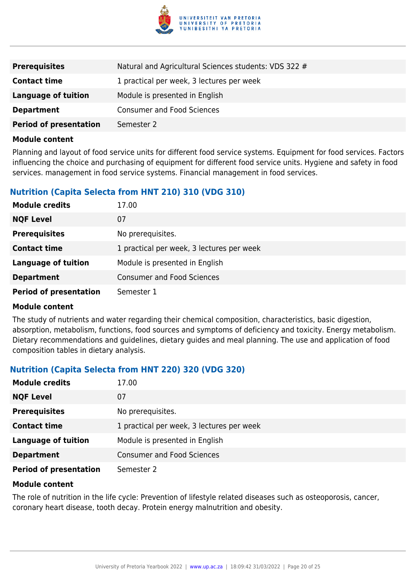

| <b>Prerequisites</b>          | Natural and Agricultural Sciences students: VDS 322 # |
|-------------------------------|-------------------------------------------------------|
| <b>Contact time</b>           | 1 practical per week, 3 lectures per week             |
| Language of tuition           | Module is presented in English                        |
| <b>Department</b>             | <b>Consumer and Food Sciences</b>                     |
| <b>Period of presentation</b> | Semester 2                                            |

Planning and layout of food service units for different food service systems. Equipment for food services. Factors influencing the choice and purchasing of equipment for different food service units. Hygiene and safety in food services. management in food service systems. Financial management in food services.

#### **Nutrition (Capita Selecta from HNT 210) 310 (VDG 310)**

| <b>Module credits</b>         | 17.00                                     |
|-------------------------------|-------------------------------------------|
| <b>NQF Level</b>              | 07                                        |
| <b>Prerequisites</b>          | No prerequisites.                         |
| <b>Contact time</b>           | 1 practical per week, 3 lectures per week |
| <b>Language of tuition</b>    | Module is presented in English            |
| <b>Department</b>             | <b>Consumer and Food Sciences</b>         |
| <b>Period of presentation</b> | Semester 1                                |

#### **Module content**

The study of nutrients and water regarding their chemical composition, characteristics, basic digestion, absorption, metabolism, functions, food sources and symptoms of deficiency and toxicity. Energy metabolism. Dietary recommendations and guidelines, dietary guides and meal planning. The use and application of food composition tables in dietary analysis.

#### **Nutrition (Capita Selecta from HNT 220) 320 (VDG 320)**

| <b>Module credits</b>         | 17.00                                     |
|-------------------------------|-------------------------------------------|
| <b>NQF Level</b>              | 07                                        |
| <b>Prerequisites</b>          | No prerequisites.                         |
| <b>Contact time</b>           | 1 practical per week, 3 lectures per week |
| <b>Language of tuition</b>    | Module is presented in English            |
| <b>Department</b>             | <b>Consumer and Food Sciences</b>         |
| <b>Period of presentation</b> | Semester 2                                |

#### **Module content**

The role of nutrition in the life cycle: Prevention of lifestyle related diseases such as osteoporosis, cancer, coronary heart disease, tooth decay. Protein energy malnutrition and obesity.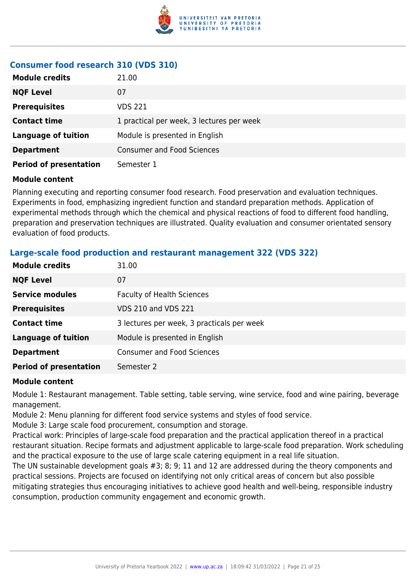

### **Consumer food research 310 (VDS 310)**

| <b>Module credits</b>         | 21.00                                     |
|-------------------------------|-------------------------------------------|
| <b>NQF Level</b>              | 07                                        |
| <b>Prerequisites</b>          | <b>VDS 221</b>                            |
| <b>Contact time</b>           | 1 practical per week, 3 lectures per week |
| <b>Language of tuition</b>    | Module is presented in English            |
| <b>Department</b>             | <b>Consumer and Food Sciences</b>         |
| <b>Period of presentation</b> | Semester 1                                |

#### **Module content**

Planning executing and reporting consumer food research. Food preservation and evaluation techniques. Experiments in food, emphasizing ingredient function and standard preparation methods. Application of experimental methods through which the chemical and physical reactions of food to different food handling, preparation and preservation techniques are illustrated. Quality evaluation and consumer orientated sensory evaluation of food products.

| <b>Module credits</b>         | 31.00                                      |
|-------------------------------|--------------------------------------------|
| <b>NQF Level</b>              | 07                                         |
| <b>Service modules</b>        | <b>Faculty of Health Sciences</b>          |
| <b>Prerequisites</b>          | <b>VDS 210 and VDS 221</b>                 |
| <b>Contact time</b>           | 3 lectures per week, 3 practicals per week |
| <b>Language of tuition</b>    | Module is presented in English             |
| <b>Department</b>             | <b>Consumer and Food Sciences</b>          |
| <b>Period of presentation</b> | Semester 2                                 |

#### **Large-scale food production and restaurant management 322 (VDS 322)**

#### **Module content**

Module 1: Restaurant management. Table setting, table serving, wine service, food and wine pairing, beverage management.

Module 2: Menu planning for different food service systems and styles of food service.

Module 3: Large scale food procurement, consumption and storage.

Practical work: Principles of large-scale food preparation and the practical application thereof in a practical restaurant situation. Recipe formats and adjustment applicable to large-scale food preparation. Work scheduling and the practical exposure to the use of large scale catering equipment in a real life situation.

The UN sustainable development goals #3; 8; 9; 11 and 12 are addressed during the theory components and practical sessions. Projects are focused on identifying not only critical areas of concern but also possible mitigating strategies thus encouraging initiatives to achieve good health and well-being, responsible industry consumption, production community engagement and economic growth.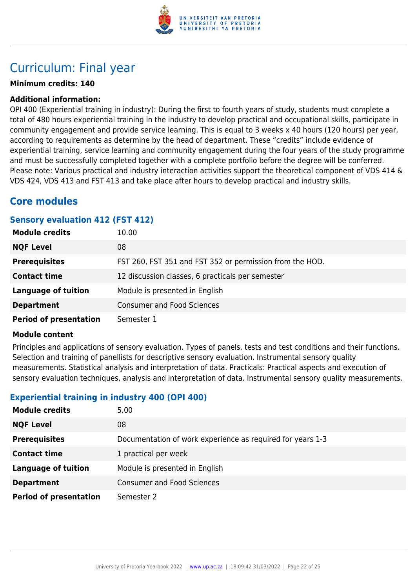

# Curriculum: Final year

#### **Minimum credits: 140**

#### **Additional information:**

OPI 400 (Experiential training in industry): During the first to fourth years of study, students must complete a total of 480 hours experiential training in the industry to develop practical and occupational skills, participate in community engagement and provide service learning. This is equal to 3 weeks x 40 hours (120 hours) per year, according to requirements as determine by the head of department. These "credits" include evidence of experiential training, service learning and community engagement during the four years of the study programme and must be successfully completed together with a complete portfolio before the degree will be conferred. Please note: Various practical and industry interaction activities support the theoretical component of VDS 414 & VDS 424, VDS 413 and FST 413 and take place after hours to develop practical and industry skills.

### **Core modules**

#### **Sensory evaluation 412 (FST 412)**

| <b>Module credits</b>         | 10.00                                                    |
|-------------------------------|----------------------------------------------------------|
| <b>NQF Level</b>              | 08                                                       |
| <b>Prerequisites</b>          | FST 260, FST 351 and FST 352 or permission from the HOD. |
| <b>Contact time</b>           | 12 discussion classes, 6 practicals per semester         |
| <b>Language of tuition</b>    | Module is presented in English                           |
| <b>Department</b>             | <b>Consumer and Food Sciences</b>                        |
| <b>Period of presentation</b> | Semester 1                                               |

#### **Module content**

Principles and applications of sensory evaluation. Types of panels, tests and test conditions and their functions. Selection and training of panellists for descriptive sensory evaluation. Instrumental sensory quality measurements. Statistical analysis and interpretation of data. Practicals: Practical aspects and execution of sensory evaluation techniques, analysis and interpretation of data. Instrumental sensory quality measurements.

#### **Experiential training in industry 400 (OPI 400)**

| <b>Module credits</b>         | 5.00                                                       |
|-------------------------------|------------------------------------------------------------|
| <b>NQF Level</b>              | 08                                                         |
| <b>Prerequisites</b>          | Documentation of work experience as required for years 1-3 |
| <b>Contact time</b>           | 1 practical per week                                       |
| <b>Language of tuition</b>    | Module is presented in English                             |
| <b>Department</b>             | <b>Consumer and Food Sciences</b>                          |
| <b>Period of presentation</b> | Semester 2                                                 |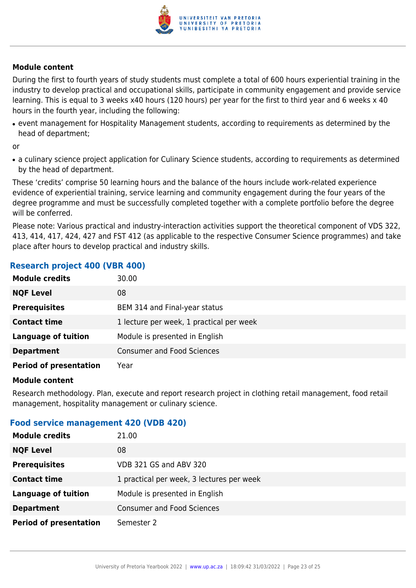

During the first to fourth years of study students must complete a total of 600 hours experiential training in the industry to develop practical and occupational skills, participate in community engagement and provide service learning. This is equal to 3 weeks x40 hours (120 hours) per year for the first to third year and 6 weeks x 40 hours in the fourth year, including the following:

• event management for Hospitality Management students, according to requirements as determined by the head of department;

or

• a culinary science project application for Culinary Science students, according to requirements as determined by the head of department.

These 'credits' comprise 50 learning hours and the balance of the hours include work-related experience evidence of experiential training, service learning and community engagement during the four years of the degree programme and must be successfully completed together with a complete portfolio before the degree will be conferred.

Please note: Various practical and industry-interaction activities support the theoretical component of VDS 322, 413, 414, 417, 424, 427 and FST 412 (as applicable to the respective Consumer Science programmes) and take place after hours to develop practical and industry skills.

#### **Research project 400 (VBR 400)**

| <b>Module credits</b>         | 30.00                                    |
|-------------------------------|------------------------------------------|
| <b>NQF Level</b>              | 08                                       |
| <b>Prerequisites</b>          | BEM 314 and Final-year status            |
| <b>Contact time</b>           | 1 lecture per week, 1 practical per week |
| <b>Language of tuition</b>    | Module is presented in English           |
| <b>Department</b>             | <b>Consumer and Food Sciences</b>        |
| <b>Period of presentation</b> | Year                                     |

#### **Module content**

Research methodology. Plan, execute and report research project in clothing retail management, food retail management, hospitality management or culinary science.

#### **Food service management 420 (VDB 420)**

| <b>Module credits</b>         | 21.00                                     |
|-------------------------------|-------------------------------------------|
| <b>NQF Level</b>              | 08                                        |
| <b>Prerequisites</b>          | VDB 321 GS and ABV 320                    |
| <b>Contact time</b>           | 1 practical per week, 3 lectures per week |
| <b>Language of tuition</b>    | Module is presented in English            |
| <b>Department</b>             | <b>Consumer and Food Sciences</b>         |
| <b>Period of presentation</b> | Semester 2                                |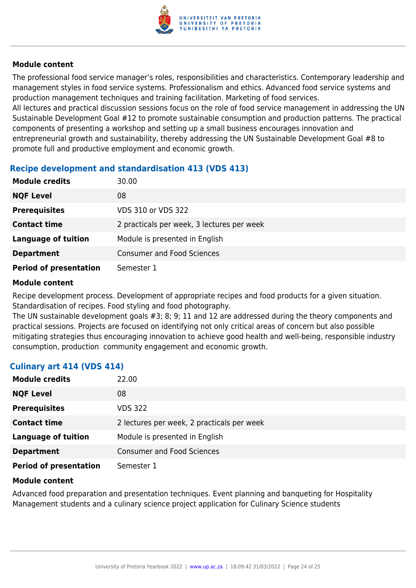

The professional food service manager's roles, responsibilities and characteristics. Contemporary leadership and management styles in food service systems. Professionalism and ethics. Advanced food service systems and production management techniques and training facilitation. Marketing of food services.

All lectures and practical discussion sessions focus on the role of food service management in addressing the UN Sustainable Development Goal #12 to promote sustainable consumption and production patterns. The practical components of presenting a workshop and setting up a small business encourages innovation and entrepreneurial growth and sustainability, thereby addressing the UN Sustainable Development Goal #8 to promote full and productive employment and economic growth.

#### **Recipe development and standardisation 413 (VDS 413)**

| <b>Module credits</b>         | 30.00                                      |
|-------------------------------|--------------------------------------------|
| <b>NQF Level</b>              | 08                                         |
| <b>Prerequisites</b>          | VDS 310 or VDS 322                         |
| <b>Contact time</b>           | 2 practicals per week, 3 lectures per week |
| <b>Language of tuition</b>    | Module is presented in English             |
| <b>Department</b>             | <b>Consumer and Food Sciences</b>          |
| <b>Period of presentation</b> | Semester 1                                 |

#### **Module content**

Recipe development process. Development of appropriate recipes and food products for a given situation. Standardisation of recipes. Food styling and food photography.

The UN sustainable development goals #3; 8; 9; 11 and 12 are addressed during the theory components and practical sessions. Projects are focused on identifying not only critical areas of concern but also possible mitigating strategies thus encouraging innovation to achieve good health and well-being, responsible industry consumption, production community engagement and economic growth.

#### **Culinary art 414 (VDS 414)**

| <b>Module credits</b>         | 22.00                                      |
|-------------------------------|--------------------------------------------|
| <b>NQF Level</b>              | 08                                         |
| <b>Prerequisites</b>          | <b>VDS 322</b>                             |
| <b>Contact time</b>           | 2 lectures per week, 2 practicals per week |
| <b>Language of tuition</b>    | Module is presented in English             |
| <b>Department</b>             | <b>Consumer and Food Sciences</b>          |
| <b>Period of presentation</b> | Semester 1                                 |

#### **Module content**

Advanced food preparation and presentation techniques. Event planning and banqueting for Hospitality Management students and a culinary science project application for Culinary Science students